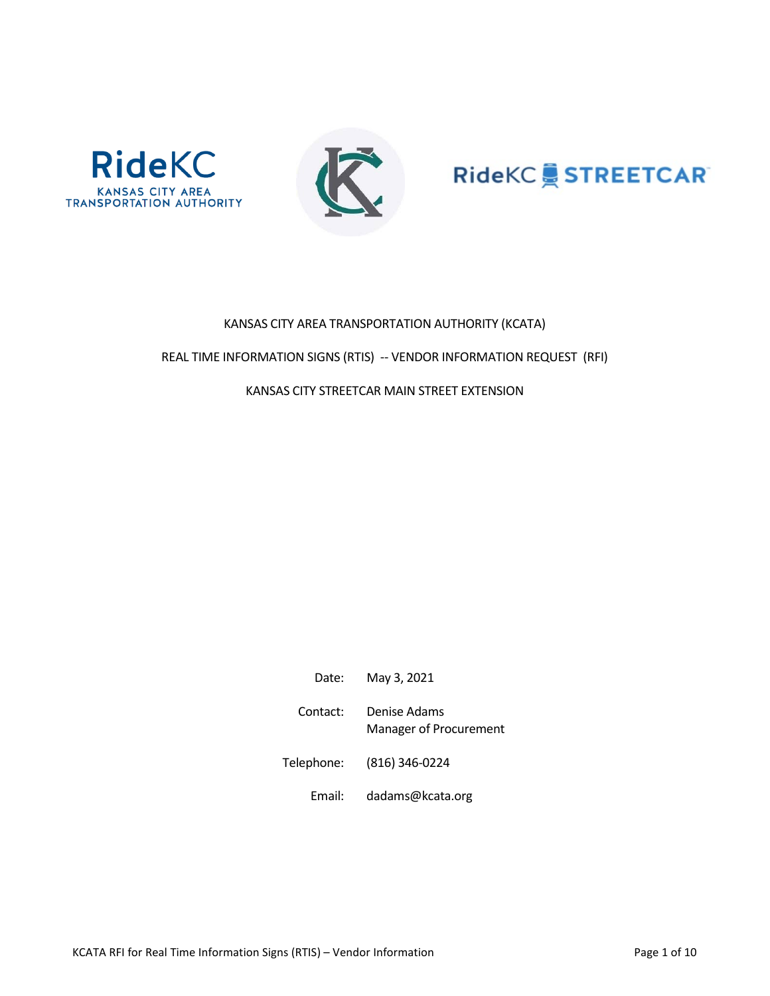





# KANSAS CITY AREA TRANSPORTATION AUTHORITY (KCATA)

## REAL TIME INFORMATION SIGNS (RTIS) -- VENDOR INFORMATION REQUEST (RFI)

# KANSAS CITY STREETCAR MAIN STREET EXTENSION

| Date:      | May 3, 2021                                   |
|------------|-----------------------------------------------|
| Contact:   | Denise Adams<br><b>Manager of Procurement</b> |
| Telephone: | (816) 346-0224                                |
| Email:     | dadams@kcata.org                              |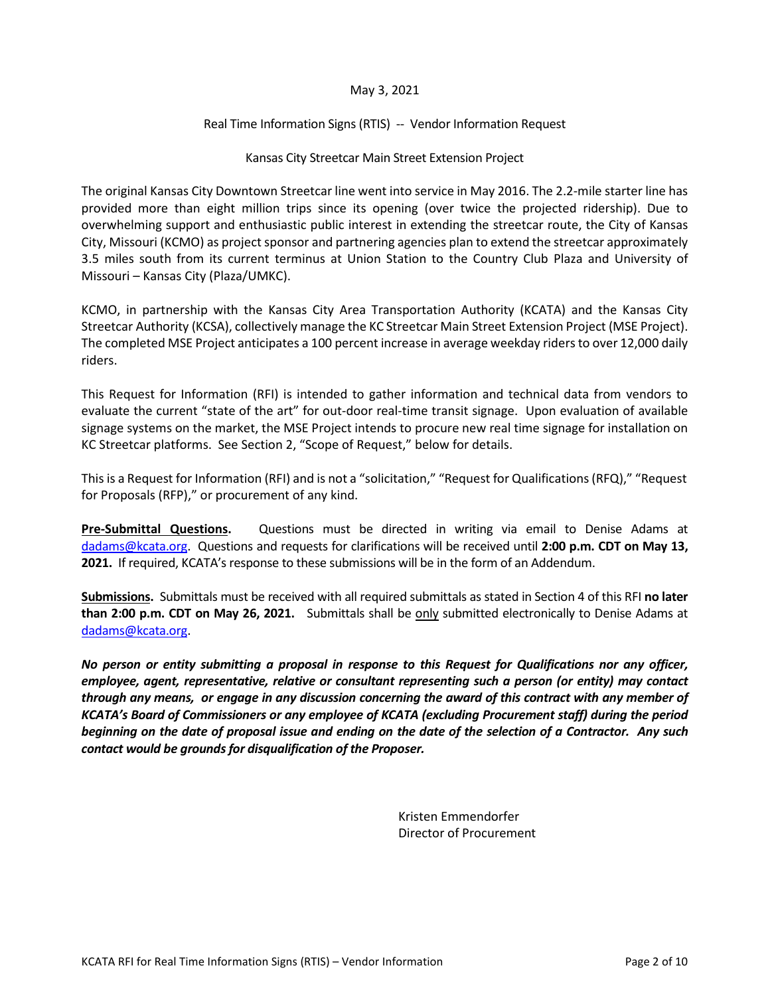# May 3, 2021

# Real Time Information Signs (RTIS) -- Vendor Information Request

#### Kansas City Streetcar Main Street Extension Project

The original Kansas City Downtown Streetcar line went into service in May 2016. The 2.2-mile starter line has provided more than eight million trips since its opening (over twice the projected ridership). Due to overwhelming support and enthusiastic public interest in extending the streetcar route, the City of Kansas City, Missouri (KCMO) as project sponsor and partnering agencies plan to extend the streetcar approximately 3.5 miles south from its current terminus at Union Station to the Country Club Plaza and University of Missouri – Kansas City (Plaza/UMKC).

KCMO, in partnership with the Kansas City Area Transportation Authority (KCATA) and the Kansas City Streetcar Authority (KCSA), collectively manage the KC Streetcar Main Street Extension Project (MSE Project). The completed MSE Project anticipates a 100 percent increase in average weekday ridersto over 12,000 daily riders.

This Request for Information (RFI) is intended to gather information and technical data from vendors to evaluate the current "state of the art" for out-door real-time transit signage. Upon evaluation of available signage systems on the market, the MSE Project intends to procure new real time signage for installation on KC Streetcar platforms. See Section 2, "Scope of Request," below for details.

This is a Request for Information (RFI) and is not a "solicitation," "Request for Qualifications (RFQ)," "Request for Proposals (RFP)," or procurement of any kind.

**Pre-Submittal Questions.** Questions must be directed in writing via email to Denise Adams at [dadams@kcata.org.](mailto:dadams@kcata.org) Questions and requests for clarifications will be received until **2:00 p.m. CDT on May 13, 2021.** If required, KCATA's response to these submissions will be in the form of an Addendum.

**Submissions.** Submittals must be received with all required submittals as stated in Section 4 of this RFI **no later than 2:00 p.m. CDT on May 26, 2021.** Submittals shall be only submitted electronically to Denise Adams at [dadams@kcata.org.](mailto:dadams@kcata.org)

*No person or entity submitting a proposal in response to this Request for Qualifications nor any officer, employee, agent, representative, relative or consultant representing such a person (or entity) may contact through any means, or engage in any discussion concerning the award of this contract with any member of KCATA's Board of Commissioners or any employee of KCATA (excluding Procurement staff) during the period beginning on the date of proposal issue and ending on the date of the selection of a Contractor. Any such contact would be grounds for disqualification of the Proposer.* 

> Kristen Emmendorfer Director of Procurement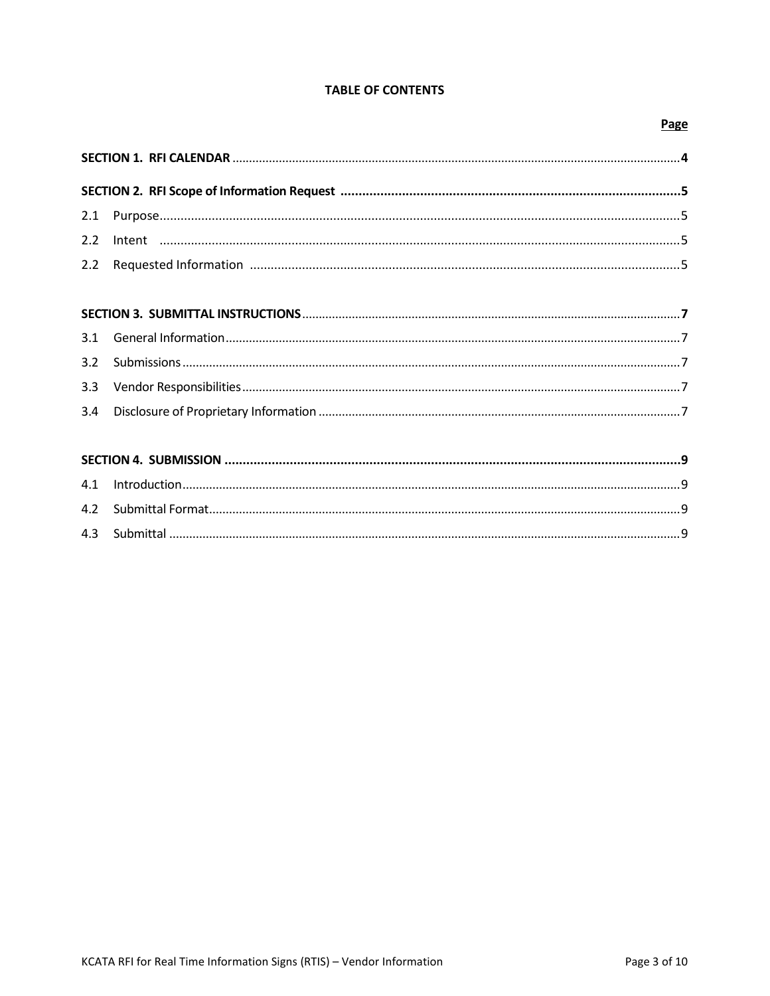# **TABLE OF CONTENTS**

#### Page

#### $3.1$  $3.2$  $3.3$  $3.4$

#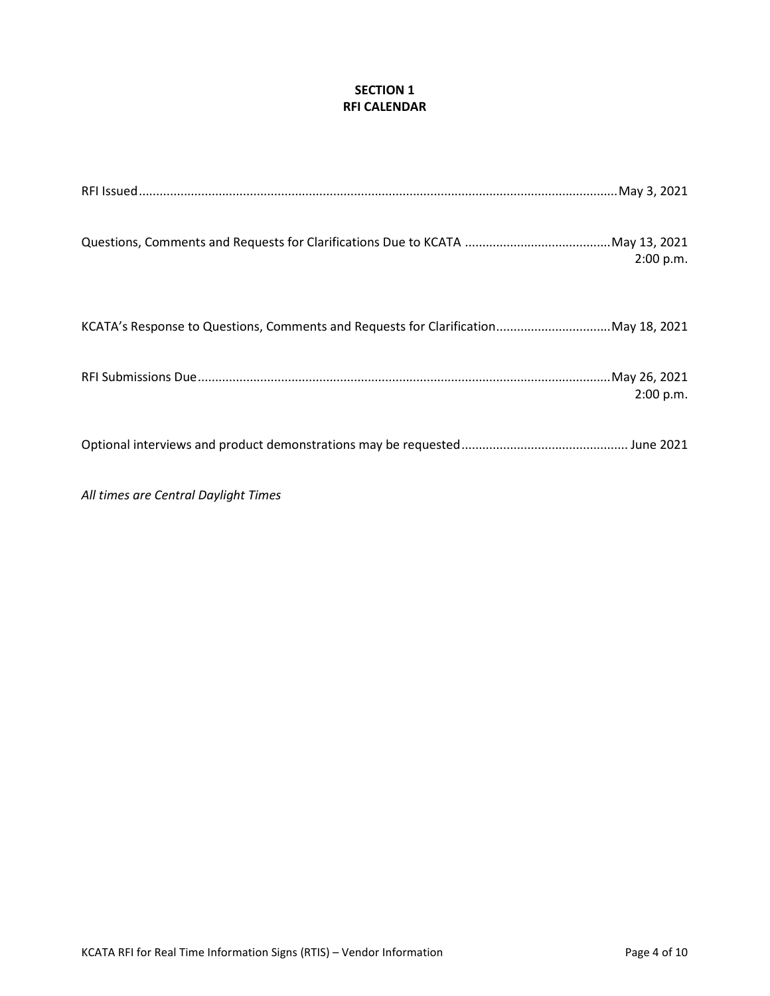# **SECTION 1 RFI CALENDAR**

|                                                                                    | 2:00 p.m. |
|------------------------------------------------------------------------------------|-----------|
| KCATA's Response to Questions, Comments and Requests for ClarificationMay 18, 2021 |           |
|                                                                                    | 2:00 p.m. |
|                                                                                    |           |

*All times are Central Daylight Times*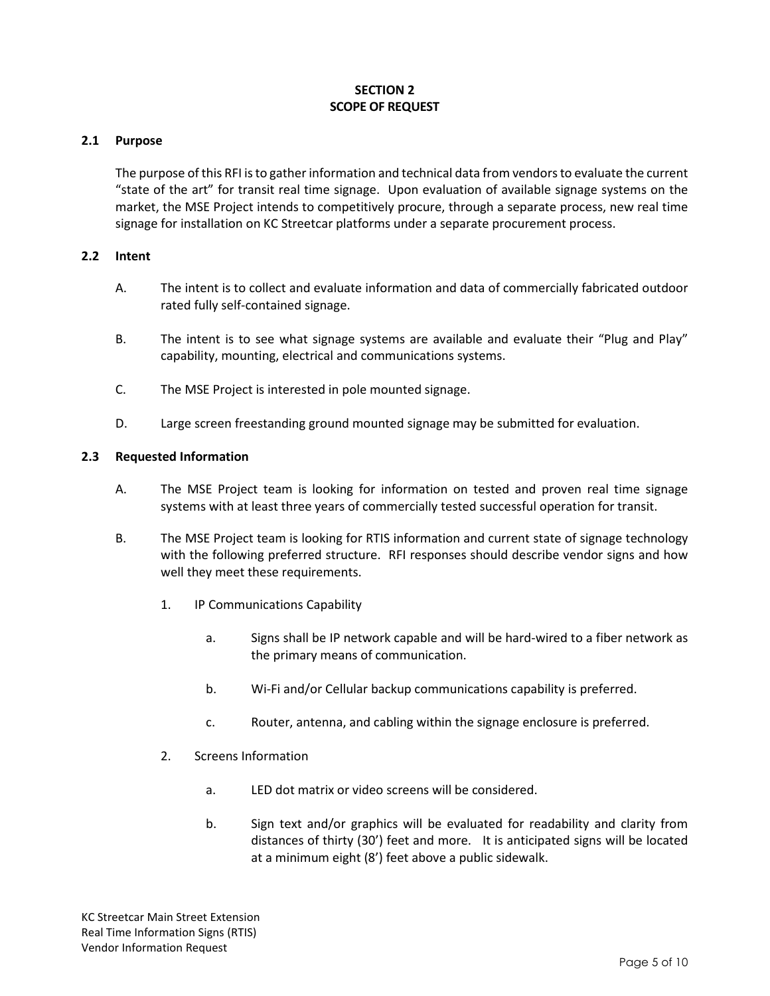# **SECTION 2 SCOPE OF REQUEST**

# **2.1 Purpose**

The purpose of this RFI is to gather information and technical data from vendors to evaluate the current "state of the art" for transit real time signage. Upon evaluation of available signage systems on the market, the MSE Project intends to competitively procure, through a separate process, new real time signage for installation on KC Streetcar platforms under a separate procurement process.

### **2.2 Intent**

- A. The intent is to collect and evaluate information and data of commercially fabricated outdoor rated fully self-contained signage.
- B. The intent is to see what signage systems are available and evaluate their "Plug and Play" capability, mounting, electrical and communications systems.
- C. The MSE Project is interested in pole mounted signage.
- D. Large screen freestanding ground mounted signage may be submitted for evaluation.

### **2.3 Requested Information**

- A. The MSE Project team is looking for information on tested and proven real time signage systems with at least three years of commercially tested successful operation for transit.
- B. The MSE Project team is looking for RTIS information and current state of signage technology with the following preferred structure. RFI responses should describe vendor signs and how well they meet these requirements.
	- 1. IP Communications Capability
		- a. Signs shall be IP network capable and will be hard-wired to a fiber network as the primary means of communication.
		- b. Wi-Fi and/or Cellular backup communications capability is preferred.
		- c. Router, antenna, and cabling within the signage enclosure is preferred.
	- 2. Screens Information
		- a. LED dot matrix or video screens will be considered.
		- b. Sign text and/or graphics will be evaluated for readability and clarity from distances of thirty (30') feet and more. It is anticipated signs will be located at a minimum eight (8') feet above a public sidewalk.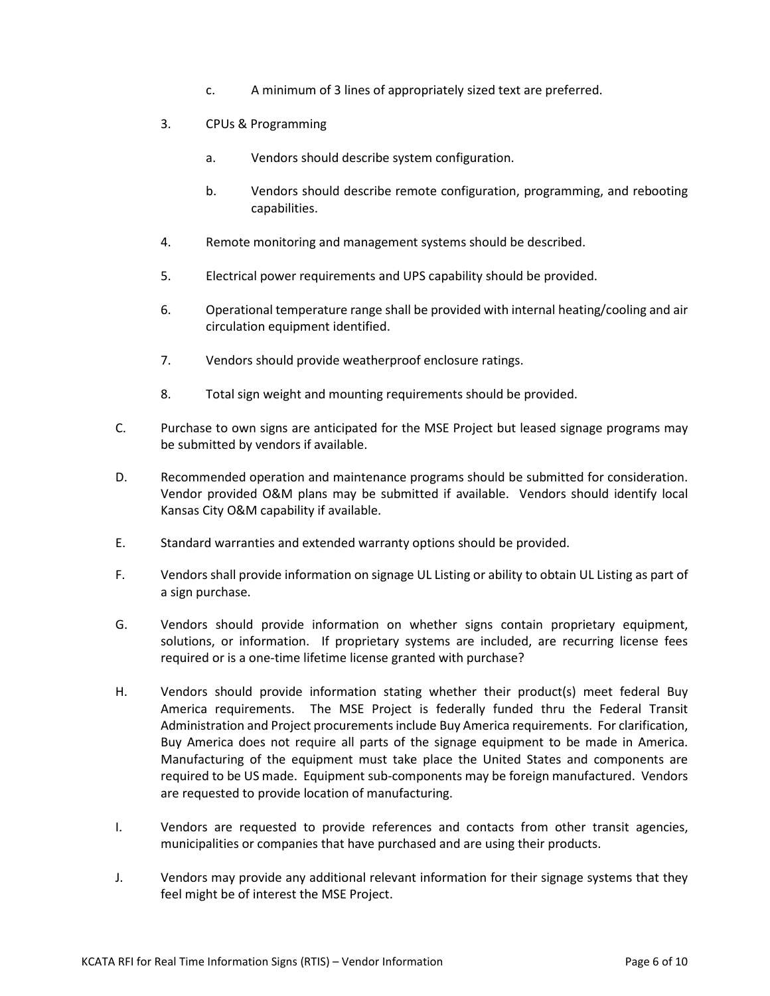- c. A minimum of 3 lines of appropriately sized text are preferred.
- 3. CPUs & Programming
	- a. Vendors should describe system configuration.
	- b. Vendors should describe remote configuration, programming, and rebooting capabilities.
- 4. Remote monitoring and management systems should be described.
- 5. Electrical power requirements and UPS capability should be provided.
- 6. Operational temperature range shall be provided with internal heating/cooling and air circulation equipment identified.
- 7. Vendors should provide weatherproof enclosure ratings.
- 8. Total sign weight and mounting requirements should be provided.
- C. Purchase to own signs are anticipated for the MSE Project but leased signage programs may be submitted by vendors if available.
- D. Recommended operation and maintenance programs should be submitted for consideration. Vendor provided O&M plans may be submitted if available. Vendors should identify local Kansas City O&M capability if available.
- E. Standard warranties and extended warranty options should be provided.
- F. Vendors shall provide information on signage UL Listing or ability to obtain UL Listing as part of a sign purchase.
- G. Vendors should provide information on whether signs contain proprietary equipment, solutions, or information. If proprietary systems are included, are recurring license fees required or is a one-time lifetime license granted with purchase?
- H. Vendors should provide information stating whether their product(s) meet federal Buy America requirements. The MSE Project is federally funded thru the Federal Transit Administration and Project procurements include Buy America requirements. For clarification, Buy America does not require all parts of the signage equipment to be made in America. Manufacturing of the equipment must take place the United States and components are required to be US made. Equipment sub-components may be foreign manufactured. Vendors are requested to provide location of manufacturing.
- I. Vendors are requested to provide references and contacts from other transit agencies, municipalities or companies that have purchased and are using their products.
- J. Vendors may provide any additional relevant information for their signage systems that they feel might be of interest the MSE Project.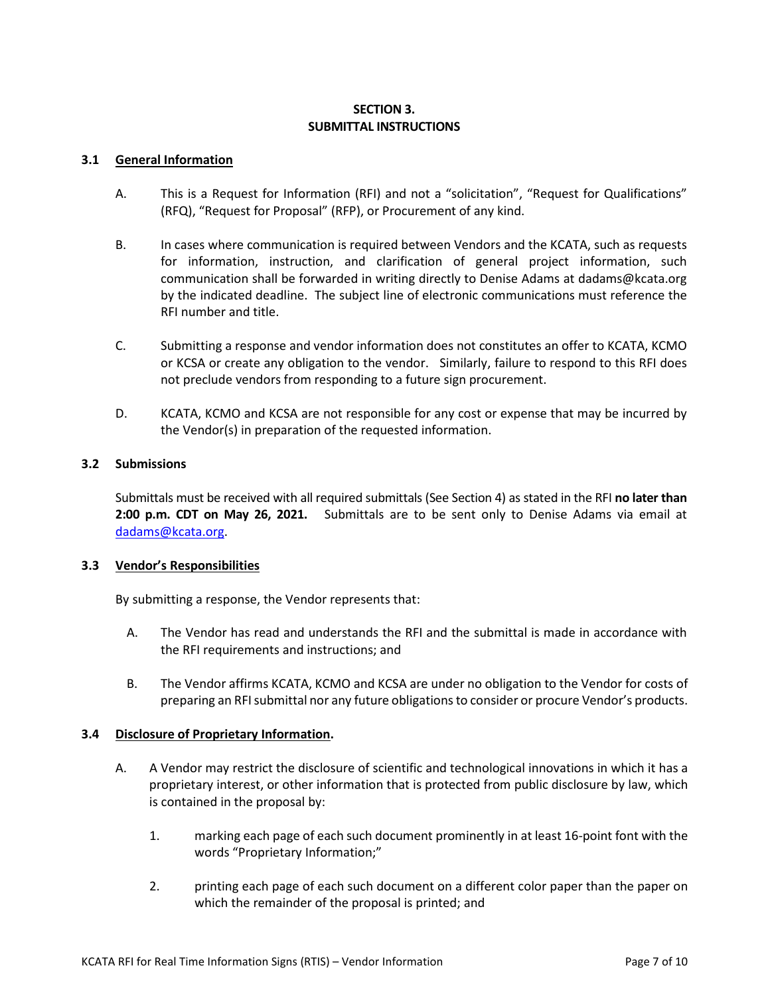# **SECTION 3. SUBMITTAL INSTRUCTIONS**

### **3.1 General Information**

- A. This is a Request for Information (RFI) and not a "solicitation", "Request for Qualifications" (RFQ), "Request for Proposal" (RFP), or Procurement of any kind.
- B. In cases where communication is required between Vendors and the KCATA, such as requests for information, instruction, and clarification of general project information, such communication shall be forwarded in writing directly to Denise Adams at dadams@kcata.org by the indicated deadline. The subject line of electronic communications must reference the RFI number and title.
- C. Submitting a response and vendor information does not constitutes an offer to KCATA, KCMO or KCSA or create any obligation to the vendor. Similarly, failure to respond to this RFI does not preclude vendors from responding to a future sign procurement.
- D. KCATA, KCMO and KCSA are not responsible for any cost or expense that may be incurred by the Vendor(s) in preparation of the requested information.

# **3.2 Submissions**

Submittals must be received with all required submittals (See Section 4) as stated in the RFI **no later than 2:00 p.m. CDT on May 26, 2021.** Submittals are to be sent only to Denise Adams via email at [dadams@kcata.org.](mailto:dadams@kcata.org)

#### **3.3 Vendor's Responsibilities**

By submitting a response, the Vendor represents that:

- A. The Vendor has read and understands the RFI and the submittal is made in accordance with the RFI requirements and instructions; and
- B. The Vendor affirms KCATA, KCMO and KCSA are under no obligation to the Vendor for costs of preparing an RFI submittal nor any future obligations to consider or procure Vendor's products.

# **3.4 Disclosure of Proprietary Information.**

- A. A Vendor may restrict the disclosure of scientific and technological innovations in which it has a proprietary interest, or other information that is protected from public disclosure by law, which is contained in the proposal by:
	- 1. marking each page of each such document prominently in at least 16-point font with the words "Proprietary Information;"
	- 2. printing each page of each such document on a different color paper than the paper on which the remainder of the proposal is printed; and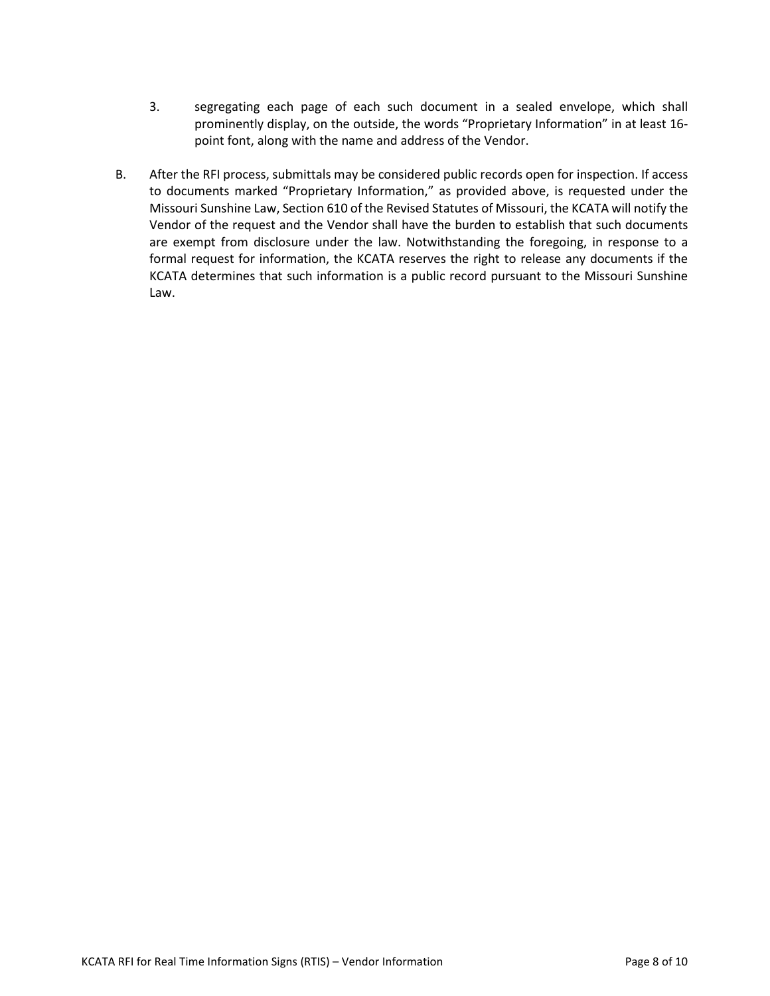- 3. segregating each page of each such document in a sealed envelope, which shall prominently display, on the outside, the words "Proprietary Information" in at least 16 point font, along with the name and address of the Vendor.
- B. After the RFI process, submittals may be considered public records open for inspection. If access to documents marked "Proprietary Information," as provided above, is requested under the Missouri Sunshine Law, Section 610 of the Revised Statutes of Missouri, the KCATA will notify the Vendor of the request and the Vendor shall have the burden to establish that such documents are exempt from disclosure under the law. Notwithstanding the foregoing, in response to a formal request for information, the KCATA reserves the right to release any documents if the KCATA determines that such information is a public record pursuant to the Missouri Sunshine Law.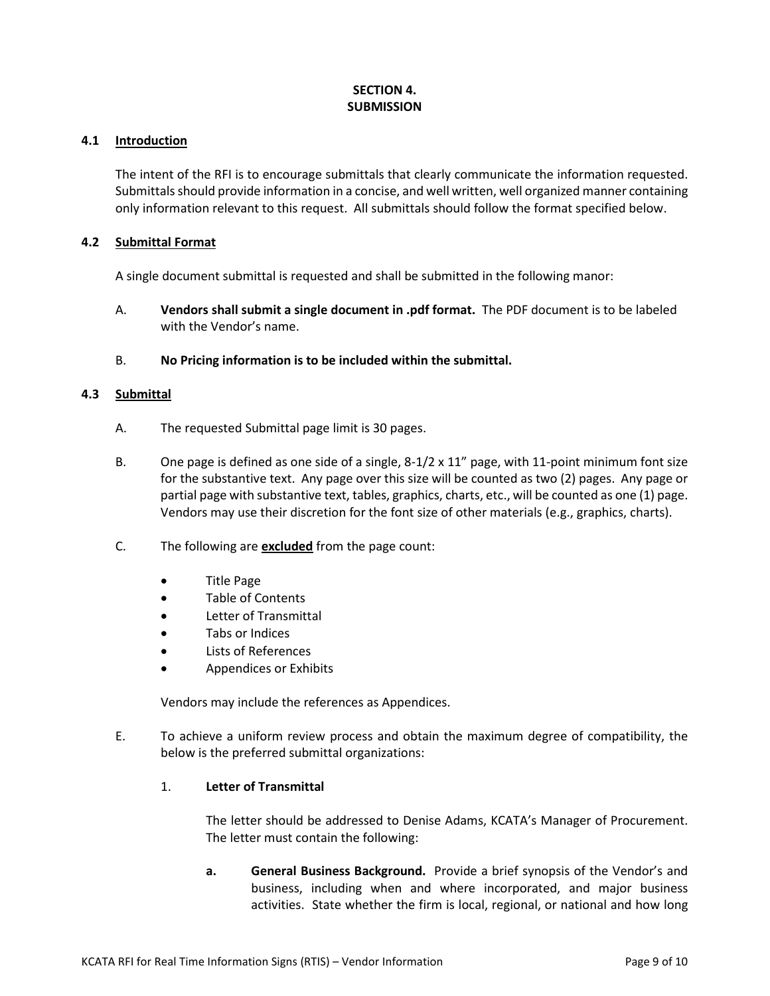# **SECTION 4. SUBMISSION**

### **4.1 Introduction**

The intent of the RFI is to encourage submittals that clearly communicate the information requested. Submittals should provide information in a concise, and well written, well organized manner containing only information relevant to this request. All submittals should follow the format specified below.

# **4.2 Submittal Format**

A single document submittal is requested and shall be submitted in the following manor:

- A. **Vendors shall submit a single document in .pdf format.** The PDF document is to be labeled with the Vendor's name.
- B. **No Pricing information is to be included within the submittal.**

# **4.3 Submittal**

- A. The requested Submittal page limit is 30 pages.
- B. One page is defined as one side of a single,  $8-1/2 \times 11''$  page, with 11-point minimum font size for the substantive text. Any page over this size will be counted as two (2) pages. Any page or partial page with substantive text, tables, graphics, charts, etc., will be counted as one (1) page. Vendors may use their discretion for the font size of other materials (e.g., graphics, charts).
- C. The following are **excluded** from the page count:
	- Title Page
	- Table of Contents
	- Letter of Transmittal
	- Tabs or Indices
	- Lists of References
	- Appendices or Exhibits

Vendors may include the references as Appendices.

E. To achieve a uniform review process and obtain the maximum degree of compatibility, the below is the preferred submittal organizations:

# 1. **Letter of Transmittal**

The letter should be addressed to Denise Adams, KCATA's Manager of Procurement. The letter must contain the following:

**a. General Business Background.** Provide a brief synopsis of the Vendor's and business, including when and where incorporated, and major business activities. State whether the firm is local, regional, or national and how long